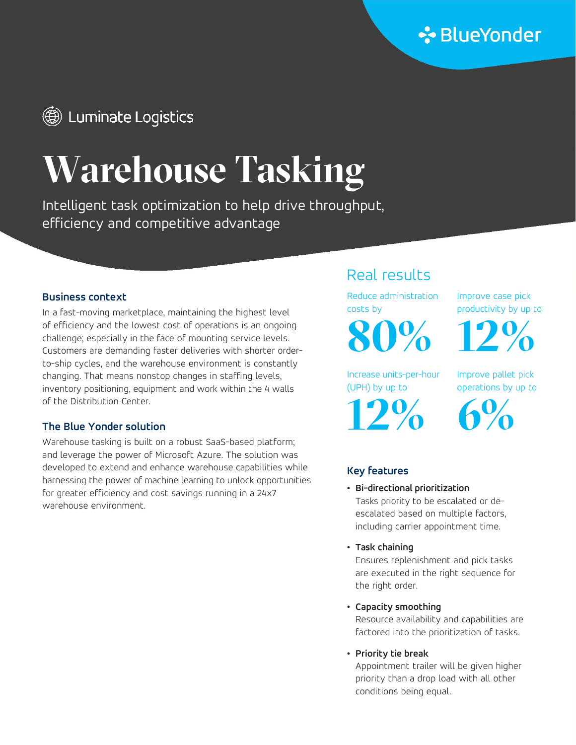# **(@)** Luminate Logistics

# Warehouse Tasking

Intelligent task optimization to help drive throughput, efficiency and competitive advantage

In a fast-moving marketplace, maintaining the highest level exact the costs by the second productivity by up to of efficiency and the lowest cost of operations is an ongoing challenge; especially in the face of mounting service levels. Customers are demanding faster deliveries with shorter orderto-ship cycles, and the warehouse environment is constantly changing. That means nonstop changes in staffing levels, inventory positioning, equipment and work within the 4 walls of the Distribution Center.

### The Blue Yonder solution

Warehouse tasking is built on a robust SaaS-based platform; and leverage the power of Microsoft Azure. The solution was developed to extend and enhance warehouse capabilities while harnessing the power of machine learning to unlock opportunities for greater efficiency and cost savings running in a 24x7 warehouse environment.

# Real results

**Business context Reduce administration Reduce administration** costs by

80% 12%

Increase units-per-hour (UPH) by up to

12% 6%

Improve case pick

Improve pallet pick operations by up to

## Key features

- Bi-directional prioritization Tasks priority to be escalated or deescalated based on multiple factors, including carrier appointment time.
- Task chaining

Ensures replenishment and pick tasks are executed in the right sequence for the right order.

• Capacity smoothing

Resource availability and capabilities are factored into the prioritization of tasks.

• Priority tie break

Appointment trailer will be given higher priority than a drop load with all other conditions being equal.